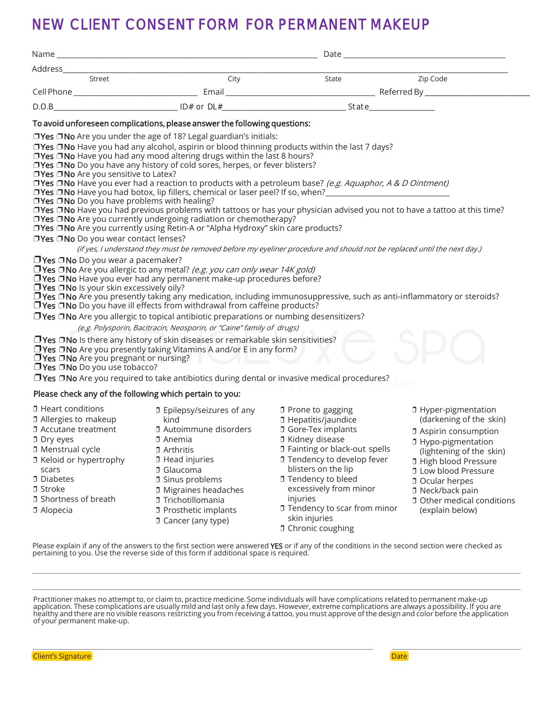## NEW CLIENT CONSENT FORM FOR PERMANENT MAKEUP

| Street                                                                                                                                                                                                                                         | City                                                                                                                                                                                                                                                                                                                                                                                                                                                                                             | State                                                                                                                                                                                                                                                                                                                                         | Zip Code                                                                                                                                                                                                                                                                                                       |
|------------------------------------------------------------------------------------------------------------------------------------------------------------------------------------------------------------------------------------------------|--------------------------------------------------------------------------------------------------------------------------------------------------------------------------------------------------------------------------------------------------------------------------------------------------------------------------------------------------------------------------------------------------------------------------------------------------------------------------------------------------|-----------------------------------------------------------------------------------------------------------------------------------------------------------------------------------------------------------------------------------------------------------------------------------------------------------------------------------------------|----------------------------------------------------------------------------------------------------------------------------------------------------------------------------------------------------------------------------------------------------------------------------------------------------------------|
|                                                                                                                                                                                                                                                |                                                                                                                                                                                                                                                                                                                                                                                                                                                                                                  |                                                                                                                                                                                                                                                                                                                                               |                                                                                                                                                                                                                                                                                                                |
|                                                                                                                                                                                                                                                |                                                                                                                                                                                                                                                                                                                                                                                                                                                                                                  |                                                                                                                                                                                                                                                                                                                                               |                                                                                                                                                                                                                                                                                                                |
|                                                                                                                                                                                                                                                | To avoid unforeseen complications, please answer the following questions:                                                                                                                                                                                                                                                                                                                                                                                                                        |                                                                                                                                                                                                                                                                                                                                               |                                                                                                                                                                                                                                                                                                                |
| □Yes □No Are you sensitive to Latex?<br>□Yes □No Do you have problems with healing?                                                                                                                                                            | □Yes □No Are you under the age of 18? Legal guardian's initials:<br>□Yes □No Have you had any alcohol, aspirin or blood thinning products within the last 7 days?<br>$\Box$ Yes $\Box$ No Have you had any mood altering drugs within the last 8 hours?<br>□ Yes □ No Do you have any history of cold sores, herpes, or fever blisters?<br>□Yes □No Are you currently undergoing radiation or chemotherapy?<br>□ Yes □ No Are you currently using Retin-A or "Alpha Hydroxy" skin care products? | □Yes □No Have you ever had a reaction to products with a petroleum base? (e.g. Aquaphor, A & D Ointment)<br>□ Yes □ No Have you had previous problems with tattoos or has your physician advised you not to have a tattoo at this time?                                                                                                       |                                                                                                                                                                                                                                                                                                                |
| □Yes □No Do you wear contact lenses?                                                                                                                                                                                                           |                                                                                                                                                                                                                                                                                                                                                                                                                                                                                                  |                                                                                                                                                                                                                                                                                                                                               |                                                                                                                                                                                                                                                                                                                |
| (if yes, I understand they must be removed before my eyeliner procedure and should not be replaced until the next day.)                                                                                                                        |                                                                                                                                                                                                                                                                                                                                                                                                                                                                                                  |                                                                                                                                                                                                                                                                                                                                               |                                                                                                                                                                                                                                                                                                                |
| $\Box$ Yes $\Box$ No Do you wear a pacemaker?<br>□ Yes □ No Is your skin excessively oily?                                                                                                                                                     | <b>TYes TNo</b> Are you allergic to any metal? (e.g. you can only wear 14K gold)<br>□ Yes □ No Have you ever had any permanent make-up procedures before?<br>$\Box$ Yes $\Box$ No Do you have ill effects from withdrawal from caffeine products?<br>□ Yes □ No Are you allergic to topical antibiotic preparations or numbing desensitizers?                                                                                                                                                    | □ Yes □ No Are you presently taking any medication, including immunosuppressive, such as anti-inflammatory or steroids?                                                                                                                                                                                                                       |                                                                                                                                                                                                                                                                                                                |
| (e.g. Polysporin, Bacitracin, Neosporin, or "Caine" family of drugs)<br>$\Box$ Yes $\Box$ No Is there any history of skin diseases or remarkable skin sensitivities?                                                                           |                                                                                                                                                                                                                                                                                                                                                                                                                                                                                                  |                                                                                                                                                                                                                                                                                                                                               |                                                                                                                                                                                                                                                                                                                |
| □ Yes □ No Are you pregnant or nursing?<br>TYes ONo Do you use tobacco?                                                                                                                                                                        | $\Box$ Yes $\Box$ No Are you presently taking Vitamins A and/or E in any form?<br>$\sim$ $\sim$ $\sim$ $\sim$ $\sim$ $\sim$<br>$\Box$ Yes $\Box$ No Are you required to take antibiotics during dental or invasive medical procedures?                                                                                                                                                                                                                                                           |                                                                                                                                                                                                                                                                                                                                               |                                                                                                                                                                                                                                                                                                                |
| Please check any of the following which pertain to you:                                                                                                                                                                                        |                                                                                                                                                                                                                                                                                                                                                                                                                                                                                                  |                                                                                                                                                                                                                                                                                                                                               |                                                                                                                                                                                                                                                                                                                |
| <b>D</b> Heart conditions<br>1 Allergies to makeup<br>D Accutane treatment<br>D Dry eyes<br><b>D</b> Menstrual cycle<br>I Keloid or hypertrophy<br>scars<br><b>D</b> Diabetes<br><b>D</b> Stroke<br><b>D</b> Shortness of breath<br>D Alopecia | ០ Epilepsy/seizures of any<br>kind<br><b>J</b> Autoimmune disorders<br>$\square$ Anemia<br>D Arthritis<br><b>D</b> Head injuries<br><b>J</b> Glaucoma<br><b>J</b> Sinus problems<br><b>J</b> Migraines headaches<br><b>J</b> Trichotillomania<br><b>D</b> Prosthetic implants<br>D Cancer (any type)                                                                                                                                                                                             | D Prone to gagging<br><b>1</b> Hepatitis/jaundice<br><b>J</b> Gore-Tex implants<br><b>J</b> Kidney disease<br><b>J</b> Fainting or black-out spells<br><b>I</b> Tendency to develop fever<br>blisters on the lip<br><b>J</b> Tendency to bleed<br>excessively from minor<br>injuries<br><b>I</b> Tendency to scar from minor<br>skin injuries | <b>D</b> Hyper-pigmentation<br>(darkening of the skin)<br><b>J</b> Aspirin consumption<br><b>J</b> Hypo-pigmentation<br>(lightening of the skin)<br><b>I</b> High blood Pressure<br><b>I</b> Low blood Pressure<br>D Ocular herpes<br>D Neck/back pain<br><b>D</b> Other medical conditions<br>(explain below) |

Please explain if any of the answers to the first section were answered YES or if any of the conditions in the second section were checked as pertaining to you. Use the reverse side of this form if additional space is required.

❒ Chronic coughing

Practitioner makes no attempt to, or claim to, practice medicine. Some individuals will have complications related to permanent make-up<br>application. These complications are usually mild and last only a few days. However, e healthy and there are no visible reasons restricting you from receiving a tattoo, you must approve of the design and color before the application of your permanent make-up.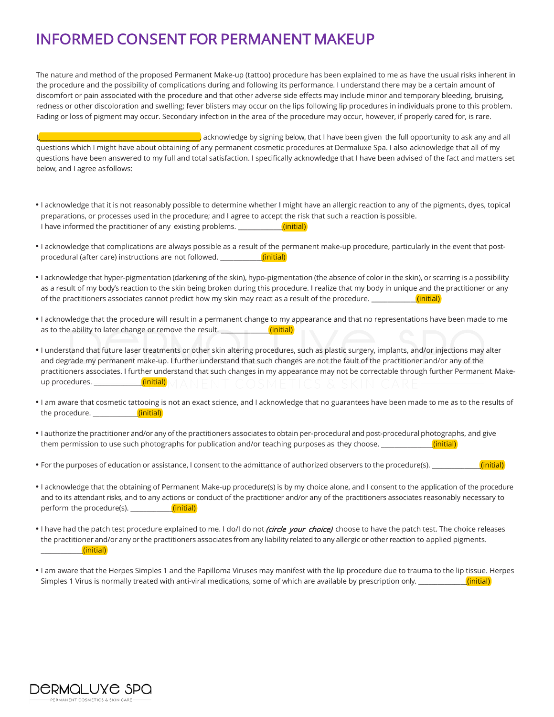## INFORMED CONSENT FOR PERMANENT MAKEUP

The nature and method of the proposed Permanent Make-up (tattoo) procedure has been explained to me as have the usual risks inherent in the procedure and the possibility of complications during and following its performance. I understand there may be a certain amount of discomfort or pain associated with the procedure and that other adverse side effects may include minor and temporary bleeding, bruising, redness or other discoloration and swelling; fever blisters may occur on the lips following lip procedures in individuals prone to this problem. Fading or loss of pigment may occur. Secondary infection in the area of the procedure may occur, however, if properly cared for, is rare.

I, we can all a support the full opportunity to ask any and all and the full opportunity to ask any and all questions which I might have about obtaining of any permanent cosmetic procedures at Dermaluxe Spa. I also acknowledge that all of my questions have been answered to my full and total satisfaction. I specifically acknowledge that I have been advised of the fact and matters set below, and I agree asfollows:

- I acknowledge that it is not reasonably possible to determine whether I might have an allergic reaction to any of the pigments, dyes, topical preparations, or processes used in the procedure; and I agree to accept the risk that such a reaction is possible. I have informed the practitioner of any existing problems.  $\frac{1}{\text{(initial)}}$
- I acknowledge that complications are always possible as a result of the permanent make-up procedure, particularly in the event that postprocedural (after care) instructions are not followed. \_\_\_\_\_\_\_\_\_\_\_\_\_(initial)
- I acknowledge that hyper-pigmentation (darkening of the skin), hypo-pigmentation (the absence of color in the skin), or scarring is a possibility as a result of my body's reaction to the skin being broken during this procedure. I realize that my body in unique and the practitioner or any of the practitioners associates cannot predict how my skin may react as a result of the procedure. \_
- I acknowledge that the procedure will result in a permanent change to my appearance and that no representations have been made to me as to the ability to later change or remove the result.  $\Box$  (initial)
- I understand that future laser treatments or other skin altering procedures, such as plastic surgery, implants, and/or injections may alter and degrade my permanent make-up. I further understand that such changes are not the fault of the practitioner and/or any of the practitioners associates. I further understand that such changes in my appearance may not be correctable through further Permanent Makeup procedures. **The set of the set of the set of the set of the set of the set of the set of the set of the set o**
- I am aware that cosmetic tattooing is not an exact science, and I acknowledge that no guarantees have been made to me as to the results of the procedure. **Example 20** (initial)
- I authorize the practitioner and/or any of the practitioners associates to obtain per-procedural and post-procedural photographs, and give them permission to use such photographs for publication and/or teaching purposes as they choose. \_\_\_\_\_\_\_\_\_\_\_\_\_(initial)
- For the purposes of education or assistance, I consent to the admittance of authorized observers to the procedure(s). \_\_\_\_\_\_\_\_\_\_\_\_\_\_\_(initial)
- I acknowledge that the obtaining of Permanent Make-up procedure(s) is by my choice alone, and I consent to the application of the procedure and to its attendant risks, and to any actions or conduct of the practitioner and/or any of the practitioners associates reasonably necessary to perform the procedure(s). \_\_\_\_\_\_\_\_\_\_\_\_\_(initial)
- I have had the patch test procedure explained to me. I do/I do not *(circle your choice)* choose to have the patch test. The choice releases the practitioner and/or any or the practitioners associates from any liability related to any allergic or other reaction to applied pigments.  $(i$ nitial)
- I am aware that the Herpes Simples 1 and the Papilloma Viruses may manifest with the lip procedure due to trauma to the lip tissue. Herpes Simples 1 Virus is normally treated with anti-viral medications, some of which are available by prescription only. \_\_\_\_\_\_\_\_\_\_\_\_\_\_\_(initial)